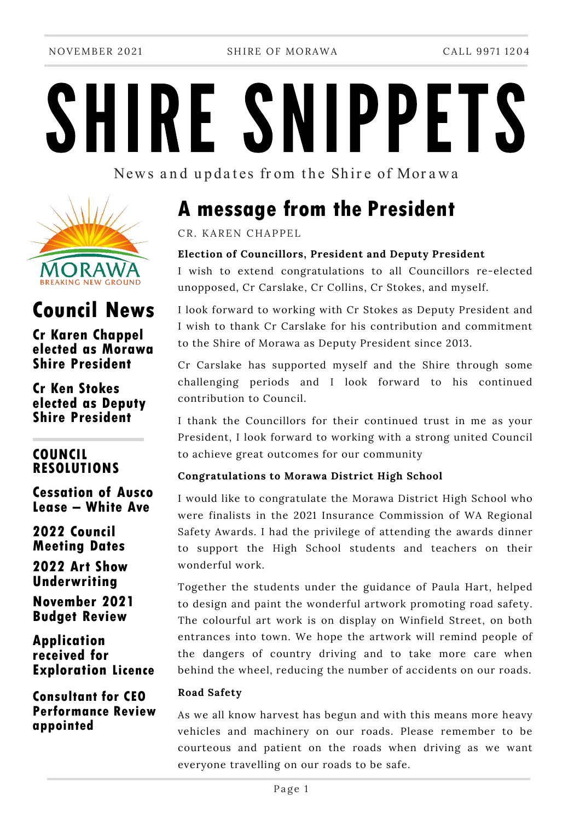# SHIRE SNIPPETS

News and updates from the Shire of Morawa



# **Council News**

**Cr Karen Chappel elected as Morawa Shire President**

**Cr Ken Stokes elected as Deputy Shire President**

#### **COUNCIL RESOLUTIONS**

**Cessation of Ausco Lease – White Ave**

**2022 Council Meeting Dates** 

**2022 Art Show Underwriting**

**November 2021 Budget Review**

**Application received for Exploration Licence**

**Consultant for CEO Performance Review appointed** 

# **A message from the President**

CR. KAREN CHAPPEL

#### **Election of Councillors, President and Deputy President**

I wish to extend congratulations to all Councillors re-elected unopposed, Cr Carslake, Cr Collins, Cr Stokes, and myself.

I look forward to working with Cr Stokes as Deputy President and I wish to thank Cr Carslake for his contribution and commitment to the Shire of Morawa as Deputy President since 2013.

Cr Carslake has supported myself and the Shire through some challenging periods and I look forward to his continued contribution to Council.

I thank the Councillors for their continued trust in me as your President, I look forward to working with a strong united Council to achieve great outcomes for our community

#### **Congratulations to Morawa District High School**

I would like to congratulate the Morawa District High School who were finalists in the 2021 Insurance Commission of WA Regional Safety Awards. I had the privilege of attending the awards dinner to support the High School students and teachers on their wonderful work.

Together the students under the guidance of Paula Hart, helped to design and paint the wonderful artwork promoting road safety. The colourful art work is on display on Winfield Street, on both entrances into town. We hope the artwork will remind people of the dangers of country driving and to take more care when behind the wheel, reducing the number of accidents on our roads.

#### **Road Safety**

As we all know harvest has begun and with this means more heavy vehicles and machinery on our roads. Please remember to be courteous and patient on the roads when driving as we want everyone travelling on our roads to be safe.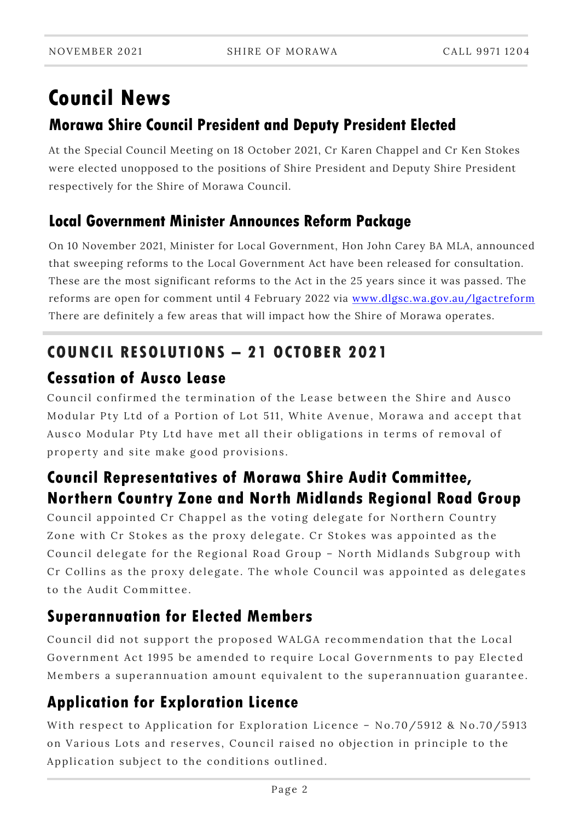# **Morawa Shire Council President and Deputy President Elected Council News**

At the Special Council Meeting on 18 October 2021, Cr Karen Chappel and Cr Ken Stokes were elected unopposed to the positions of Shire President and Deputy Shire President respectively for the Shire of Morawa Council.

## **Local Government Minister Announces Reform Package**

On 10 November 2021, Minister for Local Government, Hon John Carey BA MLA, announced that sweeping reforms to the Local Government Act have been released for consultation. These are the most significant reforms to the Act in the 25 years since it was passed. The reforms are open for comment until 4 February 2022 via [www.dlgsc.wa.gov.au/lgactreform](http://www.dlgsc.wa.gov.au/lgactreform) There are definitely a few areas that will impact how the Shire of Morawa operates.

## **COUNCIL RESOLUTIONS – 21 OCTOBER 2021**

## **Cessation of Ausco Lease**

Council confirmed the termination of the Lease between the Shire and Ausco Modular Pty Ltd of a Portion of Lot 511, White Avenue, Morawa and accept that Ausco Modular Pty Ltd have met all their obligations in terms of removal of property and site make good provisions.

## **Council Representatives of Morawa Shire Audit Committee, Northern Country Zone and North Midlands Regional Road Group**

Council appointed Cr Chappel as the voting delegate for Northern Country Zone with Cr Stokes as the proxy delegate. Cr Stokes was appointed as the Council delegate for the Regional Road Group – North Midlands Subgroup with Cr Collins as the proxy delegate. The whole Council was appointed as delegates to the Audit Committee.

## **Superannuation for Elected Members**

Council did not support the proposed WALGA recommendation that the Local Government Act 1995 be amended to require Local Governments to pay Elected Members a superannuation amount equivalent to the superannuation guarantee.

## **Application for Exploration Licence**

With respect to Application for Exploration Licence – No.70/5912 & No.70/5913 on Various Lots and reserves, Council raised no objection in principle to the Application subject to the conditions outlined.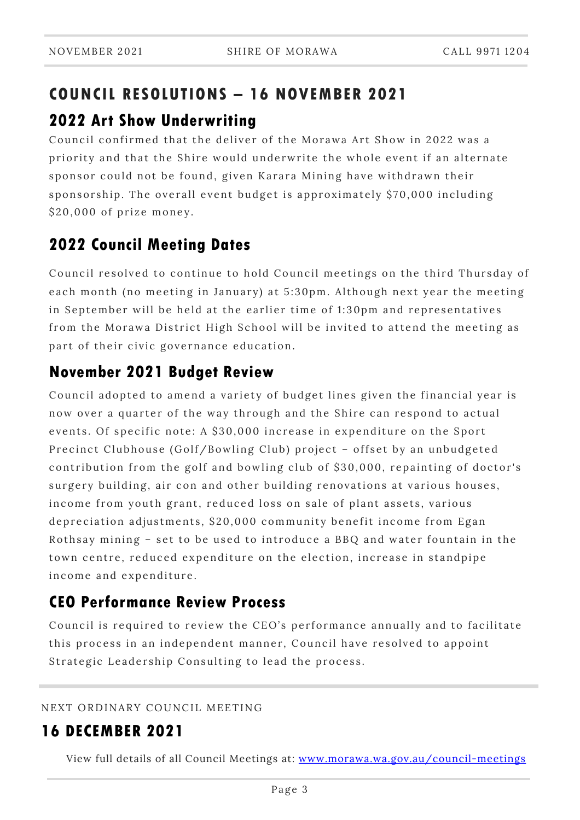## **COUNCIL RESOLUTIONS – 16 NOVEMBER 2021**

## **2022 Art Show Underwriting**

Council confirmed that the deliver of the Morawa Art Show in 2022 was a priority and that the Shire would underwrite the whole event if an alternate sponsor could not be found, given Karara Mining have withdrawn their sponsorship. The overall event budget is approximately \$70,000 including \$20,000 of prize money.

## **2022 Council Meeting Dates**

Council resolved to continue to hold Council meetings on the third Thursday of each month (no meeting in January) at 5:30pm. Although next year the meeting in September will be held at the earlier time of 1:30pm and representatives from the Morawa District High School will be invited to attend the meeting as part of their civic governance education.

## **November 2021 Budget Review**

Council adopted to amend a variety of budget lines given the financial year is now over a quarter of the way through and the Shire can respond to actual events. Of specific note: A \$30,000 increase in expenditure on the Sport Precinct Clubhouse (Golf/Bowling Club) project – offset by an unbudgeted contribution from the golf and bowling club of \$30,000, repainting of doctor's surgery building, air con and other building renovations at various houses, income from youth grant, reduced loss on sale of plant assets, various depreciation adjustments, \$20,000 community benefit income from Egan Rothsay mining – set to be used to introduce a BBQ and water fountain in the town centre, reduced expenditure on the election, increase in standpipe income and expenditure.

## **CEO Performance Review Process**

Council is required to review the CEO's performance annually and to facilitate this process in an independent manner, Council have resolved to appoint Strategic Leadership Consulting to lead the process.

#### NEXT ORDINARY COUNCIL MEETING

## **16 DECEMBER 2021**

View full details of all Council Meetings at: [www.morawa.wa.gov.au/council-meetings](http://www.morawa.wa.gov.au/council-meetings)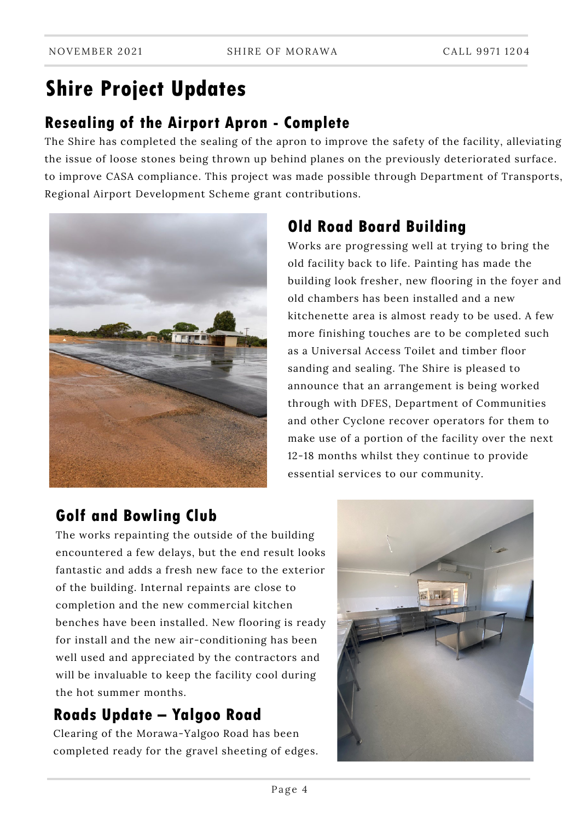# **Shire Project Updates**

## **Resealing of the Airport Apron - Complete**

The Shire has completed the sealing of the apron to improve the safety of the facility, alleviating the issue of loose stones being thrown up behind planes on the previously deteriorated surface. to improve CASA compliance. This project was made possible through Department of Transports, Regional Airport Development Scheme grant contributions.



## **Old Road Board Building**

Works are progressing well at trying to bring the old facility back to life. Painting has made the building look fresher, new flooring in the foyer and old chambers has been installed and a new kitchenette area is almost ready to be used. A few more finishing touches are to be completed such as a Universal Access Toilet and timber floor sanding and sealing. The Shire is pleased to announce that an arrangement is being worked through with DFES, Department of Communities and other Cyclone recover operators for them to make use of a portion of the facility over the next 12-18 months whilst they continue to provide essential services to our community.

## **Golf and Bowling Club**

The works repainting the outside of the building encountered a few delays, but the end result looks fantastic and adds a fresh new face to the exterior of the building. Internal repaints are close to completion and the new commercial kitchen benches have been installed. New flooring is ready for install and the new air-conditioning has been well used and appreciated by the contractors and will be invaluable to keep the facility cool during the hot summer months.

## **Roads Update – Yalgoo Road**

Clearing of the Morawa-Yalgoo Road has been completed ready for the gravel sheeting of edges.

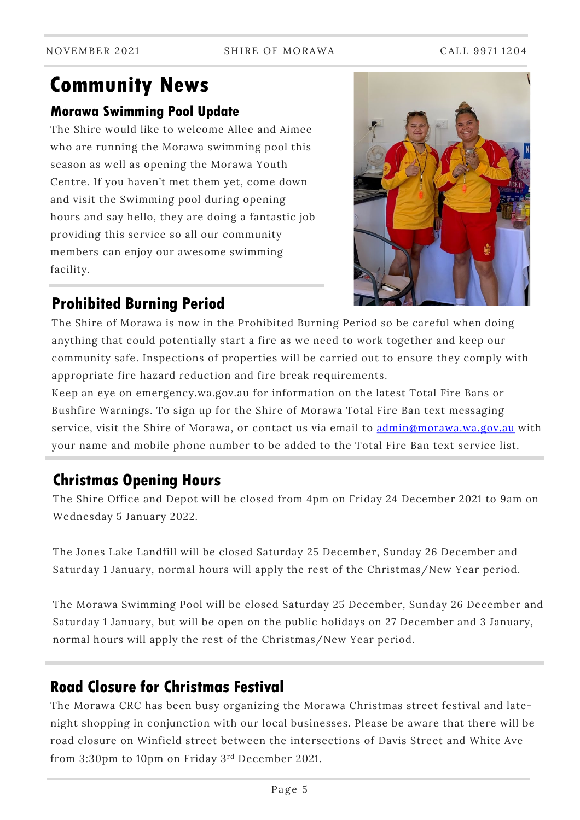# **Community News**

### **Morawa Swimming Pool Update**

The Shire would like to welcome Allee and Aimee who are running the Morawa swimming pool this season as well as opening the Morawa Youth Centre. If you haven't met them yet, come down and visit the Swimming pool during opening hours and say hello, they are doing a fantastic job providing this service so all our community members can enjoy our awesome swimming facility.



## **Prohibited Burning Period**

The Shire of Morawa is now in the Prohibited Burning Period so be careful when doing anything that could potentially start a fire as we need to work together and keep our community safe. Inspections of properties will be carried out to ensure they comply with appropriate fire hazard reduction and fire break requirements.

Keep an eye on emergency.wa.gov.au for information on the latest Total Fire Bans or Bushfire Warnings. To sign up for the Shire of Morawa Total Fire Ban text messaging service, visit the Shire of Morawa, or contact us via email to [admin@morawa.wa.gov.au](mailto:admin@morawa.wa.gov.au) with your name and mobile phone number to be added to the Total Fire Ban text service list.

## **Christmas Opening Hours**

The Shire Office and Depot will be closed from 4pm on Friday 24 December 2021 to 9am on Wednesday 5 January 2022.

The Jones Lake Landfill will be closed Saturday 25 December, Sunday 26 December and Saturday 1 January, normal hours will apply the rest of the Christmas/New Year period.

The Morawa Swimming Pool will be closed Saturday 25 December, Sunday 26 December and Saturday 1 January, but will be open on the public holidays on 27 December and 3 January, normal hours will apply the rest of the Christmas/New Year period.

## **Road Closure for Christmas Festival**

The Morawa CRC has been busy organizing the Morawa Christmas street festival and latenight shopping in conjunction with our local businesses. Please be aware that there will be road closure on Winfield street between the intersections of Davis Street and White Ave from 3:30pm to 10pm on Friday 3rd December 2021.